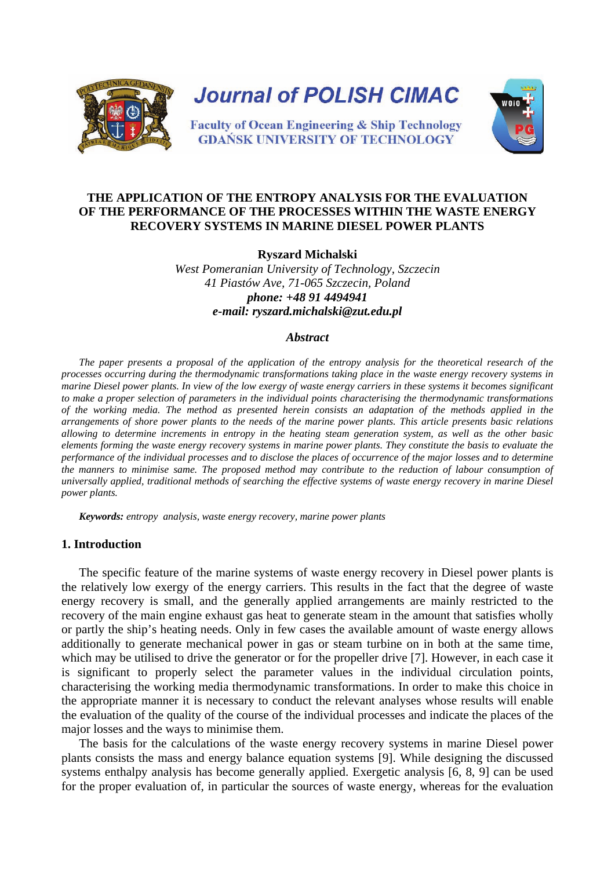

# **THE APPLICATION OF THE ENTROPY ANALYSIS FOR THE EVALUATION OF THE PERFORMANCE OF THE PROCESSES WITHIN THE WASTE ENERGY RECOVERY SYSTEMS IN MARINE DIESEL POWER PLANTS**

**Ryszard Michalski**

*West Pomeranian University of Technology, Szczecin 41 Piastów Ave, 71-065 Szczecin, Poland phone: +48 91 4494941 e-mail: ryszard.michalski@zut.edu.pl* 

#### *Abstract*

*The paper presents a proposal of the application of the entropy analysis for the theoretical research of the processes occurring during the thermodynamic transformations taking place in the waste energy recovery systems in marine Diesel power plants. In view of the low exergy of waste energy carriers in these systems it becomes significant to make a proper selection of parameters in the individual points characterising the thermodynamic transformations of the working media. The method as presented herein consists an adaptation of the methods applied in the arrangements of shore power plants to the needs of the marine power plants. This article presents basic relations allowing to determine increments in entropy in the heating steam generation system, as well as the other basic elements forming the waste energy recovery systems in marine power plants. They constitute the basis to evaluate the performance of the individual processes and to disclose the places of occurrence of the major losses and to determine the manners to minimise same. The proposed method may contribute to the reduction of labour consumption of universally applied, traditional methods of searching the effective systems of waste energy recovery in marine Diesel power plants.*

*Keywords: entropy analysis, waste energy recovery, marine power plants*

#### **1. Introduction**

The specific feature of the marine systems of waste energy recovery in Diesel power plants is the relatively low exergy of the energy carriers. This results in the fact that the degree of waste energy recovery is small, and the generally applied arrangements are mainly restricted to the recovery of the main engine exhaust gas heat to generate steam in the amount that satisfies wholly or partly the ship's heating needs. Only in few cases the available amount of waste energy allows additionally to generate mechanical power in gas or steam turbine on in both at the same time, which may be utilised to drive the generator or for the propeller drive [7]. However, in each case it is significant to properly select the parameter values in the individual circulation points, characterising the working media thermodynamic transformations. In order to make this choice in the appropriate manner it is necessary to conduct the relevant analyses whose results will enable the evaluation of the quality of the course of the individual processes and indicate the places of the major losses and the ways to minimise them.

The basis for the calculations of the waste energy recovery systems in marine Diesel power plants consists the mass and energy balance equation systems [9]. While designing the discussed systems enthalpy analysis has become generally applied. Exergetic analysis [6, 8, 9] can be used for the proper evaluation of, in particular the sources of waste energy, whereas for the evaluation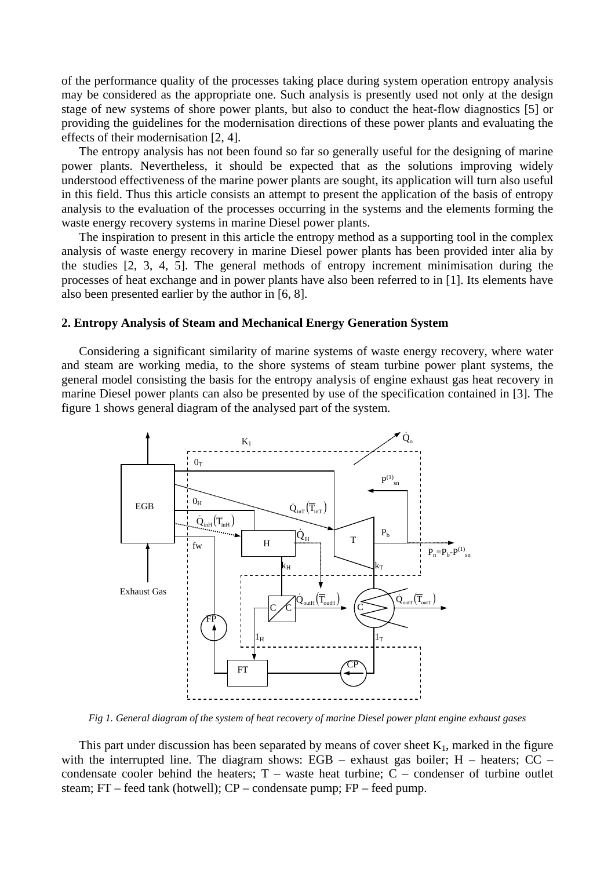of the performance quality of the processes taking place during system operation entropy analysis may be considered as the appropriate one. Such analysis is presently used not only at the design stage of new systems of shore power plants, but also to conduct the heat-flow diagnostics [5] or providing the guidelines for the modernisation directions of these power plants and evaluating the effects of their modernisation [2, 4].

The entropy analysis has not been found so far so generally useful for the designing of marine power plants. Nevertheless, it should be expected that as the solutions improving widely understood effectiveness of the marine power plants are sought, its application will turn also useful in this field. Thus this article consists an attempt to present the application of the basis of entropy analysis to the evaluation of the processes occurring in the systems and the elements forming the waste energy recovery systems in marine Diesel power plants.

The inspiration to present in this article the entropy method as a supporting tool in the complex analysis of waste energy recovery in marine Diesel power plants has been provided inter alia by the studies [2, 3, 4, 5]. The general methods of entropy increment minimisation during the processes of heat exchange and in power plants have also been referred to in [1]. Its elements have also been presented earlier by the author in [6, 8].

## **2. Entropy Analysis of Steam and Mechanical Energy Generation System**

Considering a significant similarity of marine systems of waste energy recovery, where water and steam are working media, to the shore systems of steam turbine power plant systems, the general model consisting the basis for the entropy analysis of engine exhaust gas heat recovery in marine Diesel power plants can also be presented by use of the specification contained in [3]. The figure 1 shows general diagram of the analysed part of the system.



*Fig 1. General diagram of the system of heat recovery of marine Diesel power plant engine exhaust gases*

This part under discussion has been separated by means of cover sheet  $K_1$ , marked in the figure with the interrupted line. The diagram shows: EGB – exhaust gas boiler; H – heaters; CC – condensate cooler behind the heaters;  $T -$  waste heat turbine;  $C -$  condenser of turbine outlet steam; FT – feed tank (hotwell); CP – condensate pump; FP – feed pump.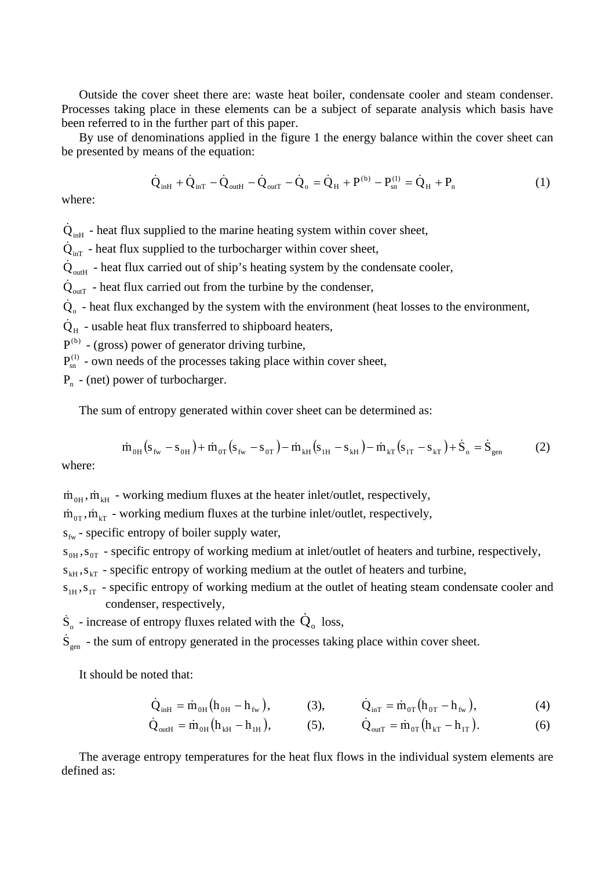Outside the cover sheet there are: waste heat boiler, condensate cooler and steam condenser. Processes taking place in these elements can be a subject of separate analysis which basis have been referred to in the further part of this paper.

By use of denominations applied in the figure 1 the energy balance within the cover sheet can be presented by means of the equation:

$$
\dot{Q}_{inH} + \dot{Q}_{inT} - \dot{Q}_{outH} - \dot{Q}_{outT} - \dot{Q}_{o} = \dot{Q}_{H} + P^{(b)} - P_{sn}^{(1)} = \dot{Q}_{H} + P_{n}
$$
\n(1)

where:

 $\dot{Q}_{inH}$  - heat flux supplied to the marine heating system within cover sheet,

 $\dot{Q}_{inT}$  - heat flux supplied to the turbocharger within cover sheet,

 $\dot{Q}_{\text{outH}}$  - heat flux carried out of ship's heating system by the condensate cooler,

 $Q_{\text{outT}}$  - heat flux carried out from the turbine by the condenser,

 $\dot{Q}_{o}$  - heat flux exchanged by the system with the environment (heat losses to the environment,

 $\dot{Q}_{H}$  - usable heat flux transferred to shipboard heaters,

 $P^{(b)}$  - (gross) power of generator driving turbine,

 $P_{sn}^{(1)}$  - own needs of the processes taking place within cover sheet,

 $P_n$  - (net) power of turbocharger.

The sum of entropy generated within cover sheet can be determined as:

$$
\dot{m}_{0H}(s_{fw} - s_{0H}) + \dot{m}_{0T}(s_{fw} - s_{0T}) - \dot{m}_{kH}(s_{1H} - s_{kH}) - \dot{m}_{kT}(s_{1T} - s_{kT}) + \dot{S}_{o} = \dot{S}_{gen}
$$
 (2)

where:

 $\dot{m}_{OH}$ ,  $\dot{m}_{KH}$  - working medium fluxes at the heater inlet/outlet, respectively,

 $\dot{m}_{0T}$ ,  $\dot{m}_{kT}$  - working medium fluxes at the turbine inlet/outlet, respectively,

 $s_{fw}$  - specific entropy of boiler supply water,

 $S_{0H}$ ,  $S_{0T}$  - specific entropy of working medium at inlet/outlet of heaters and turbine, respectively,

 $s_{kH}$ ,  $s_{kT}$  - specific entropy of working medium at the outlet of heaters and turbine,

 $S_{1H}$ ,  $S_{1T}$  - specific entropy of working medium at the outlet of heating steam condensate cooler and condenser, respectively,

 $\dot{S}_{o}$  - increase of entropy fluxes related with the  $\dot{Q}_{o}$  loss,

 $\dot{S}_{gen}$  - the sum of entropy generated in the processes taking place within cover sheet.

It should be noted that:

$$
\dot{Q}_{inH} = \dot{m}_{0H} (h_{0H} - h_{fw}), \qquad (3), \qquad \dot{Q}_{inT} = \dot{m}_{0T} (h_{0T} - h_{fw}), \qquad (4)
$$

$$
\dot{Q}_{\text{outH}} = \dot{m}_{\text{OH}} \left( h_{\text{kH}} - h_{\text{IH}} \right), \qquad (5), \qquad \dot{Q}_{\text{outT}} = \dot{m}_{\text{OT}} \left( h_{\text{kT}} - h_{\text{IT}} \right). \qquad (6)
$$

The average entropy temperatures for the heat flux flows in the individual system elements are defined as: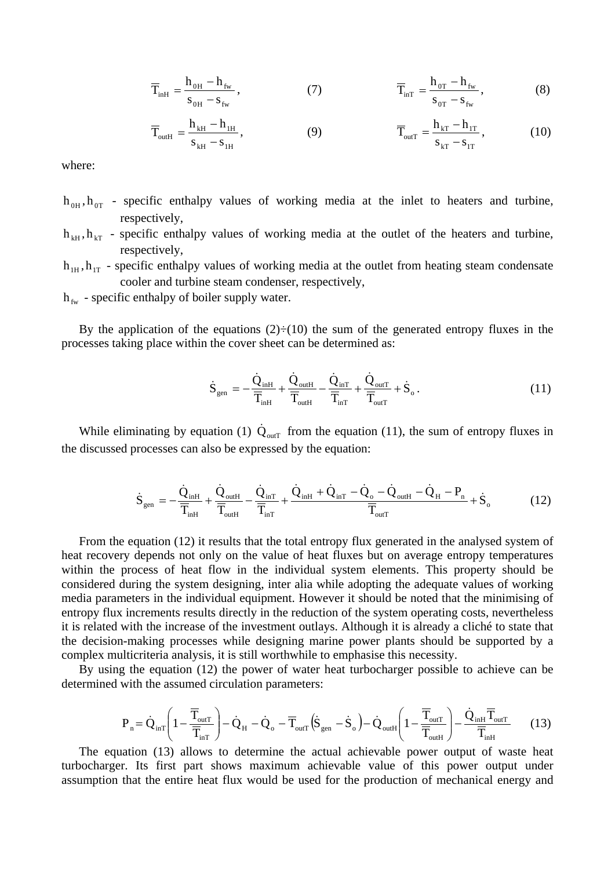$$
\overline{T}_{\text{inH}} = \frac{h_{\text{OH}} - h_{\text{fw}}}{s_{\text{OH}} - s_{\text{fw}}},
$$
\n(7) 
$$
\overline{T}_{\text{inT}} = \frac{h_{\text{OT}} - h_{\text{fw}}}{s_{\text{OT}} - s_{\text{fw}}},
$$
\n(8)

$$
\overline{T}_{outH} = \frac{h_{kH} - h_{1H}}{s_{kH} - s_{1H}},
$$
\n(9) 
$$
\overline{T}_{outT} = \frac{h_{kT} - h_{1T}}{s_{kT} - s_{1T}},
$$
\n(10)

where:

- $h_{0H}$ ,  $h_{0T}$  specific enthalpy values of working media at the inlet to heaters and turbine, respectively,
- $h_{kH}$ ,  $h_{kT}$  specific enthalpy values of working media at the outlet of the heaters and turbine, respectively,
- $h_{1H}$ ,  $h_{1T}$  specific enthalpy values of working media at the outlet from heating steam condensate cooler and turbine steam condenser, respectively,

 $h_{fw}$  - specific enthalpy of boiler supply water.

By the application of the equations  $(2) \div (10)$  the sum of the generated entropy fluxes in the processes taking place within the cover sheet can be determined as:

$$
\dot{S}_{gen} = -\frac{\dot{Q}_{inH}}{\overline{T}_{inH}} + \frac{\dot{Q}_{outH}}{\overline{T}_{outH}} - \frac{\dot{Q}_{inT}}{\overline{T}_{inT}} + \frac{\dot{Q}_{outT}}{\overline{T}_{outT}} + \dot{S}_{o}. \qquad (11)
$$

While eliminating by equation (1)  $\dot{Q}_{\text{outT}}$  from the equation (11), the sum of entropy fluxes in the discussed processes can also be expressed by the equation:

$$
\dot{S}_{gen} = -\frac{\dot{Q}_{inH}}{\overline{T}_{inH}} + \frac{\dot{Q}_{outH}}{\overline{T}_{outH}} - \frac{\dot{Q}_{inT}}{\overline{T}_{inT}} + \frac{\dot{Q}_{inH} + \dot{Q}_{inT} - \dot{Q}_{o} - \dot{Q}_{outH} - \dot{Q}_{H} - P_{n}}{\overline{T}_{outT}} + \dot{S}_{o}
$$
(12)

From the equation (12) it results that the total entropy flux generated in the analysed system of heat recovery depends not only on the value of heat fluxes but on average entropy temperatures within the process of heat flow in the individual system elements. This property should be considered during the system designing, inter alia while adopting the adequate values of working media parameters in the individual equipment. However it should be noted that the minimising of entropy flux increments results directly in the reduction of the system operating costs, nevertheless it is related with the increase of the investment outlays. Although it is already a cliché to state that the decision-making processes while designing marine power plants should be supported by a complex multicriteria analysis, it is still worthwhile to emphasise this necessity.

By using the equation (12) the power of water heat turbocharger possible to achieve can be determined with the assumed circulation parameters:

$$
P_{n} = \dot{Q}_{inT} \left( 1 - \frac{\overline{T}_{outT}}{\overline{T}_{inT}} \right) - \dot{Q}_{H} - \dot{Q}_{o} - \overline{T}_{outT} \left( \dot{S}_{gen} - \dot{S}_{o} \right) - \dot{Q}_{outH} \left( 1 - \frac{\overline{T}_{outT}}{\overline{T}_{outH}} \right) - \frac{\dot{Q}_{inH} \overline{T}_{outT}}{\overline{T}_{inH}} \tag{13}
$$

The equation (13) allows to determine the actual achievable power output of waste heat turbocharger. Its first part shows maximum achievable value of this power output under assumption that the entire heat flux would be used for the production of mechanical energy and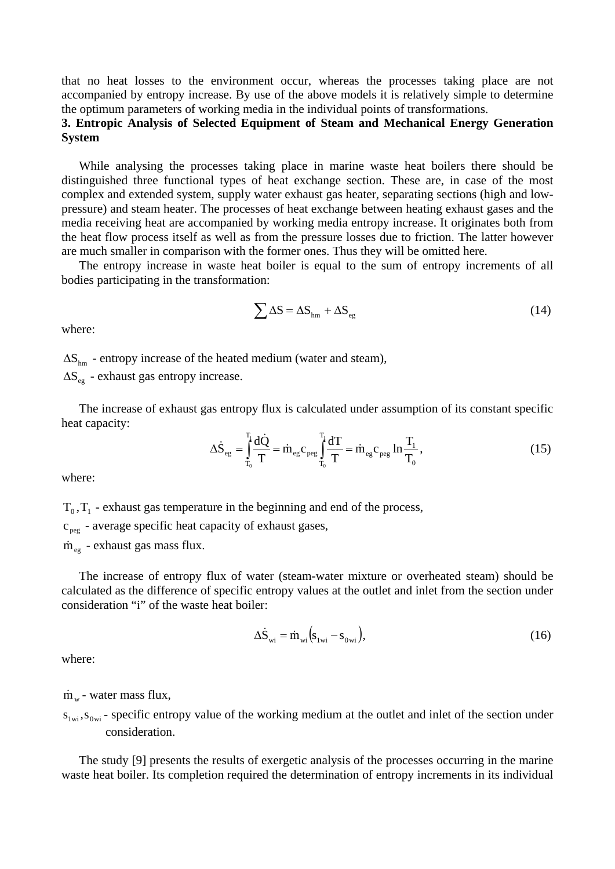that no heat losses to the environment occur, whereas the processes taking place are not accompanied by entropy increase. By use of the above models it is relatively simple to determine the optimum parameters of working media in the individual points of transformations.

# **3. Entropic Analysis of Selected Equipment of Steam and Mechanical Energy Generation System**

While analysing the processes taking place in marine waste heat boilers there should be distinguished three functional types of heat exchange section. These are, in case of the most complex and extended system, supply water exhaust gas heater, separating sections (high and lowpressure) and steam heater. The processes of heat exchange between heating exhaust gases and the media receiving heat are accompanied by working media entropy increase. It originates both from the heat flow process itself as well as from the pressure losses due to friction. The latter however are much smaller in comparison with the former ones. Thus they will be omitted here.

The entropy increase in waste heat boiler is equal to the sum of entropy increments of all bodies participating in the transformation:

$$
\sum \Delta S = \Delta S_{hm} + \Delta S_{eg} \tag{14}
$$

where:

 $\Delta S_{hm}$  - entropy increase of the heated medium (water and steam),

 $\Delta S_{\text{ee}}$  - exhaust gas entropy increase.

The increase of exhaust gas entropy flux is calculated under assumption of its constant specific heat capacity:

$$
\Delta \dot{\mathbf{S}}_{eg} = \int_{T_0}^{T_1} \frac{d\dot{Q}}{T} = \dot{m}_{eg} c_{peg} \int_{T_0}^{T_1} \frac{dT}{T} = \dot{m}_{eg} c_{peg} \ln \frac{T_1}{T_0},\tag{15}
$$

where:

 $T_0$ ,  $T_1$  - exhaust gas temperature in the beginning and end of the process,

 $c_{\text{peg}}$  - average specific heat capacity of exhaust gases,

 $\dot{m}_{eg}$  - exhaust gas mass flux.

The increase of entropy flux of water (steam-water mixture or overheated steam) should be calculated as the difference of specific entropy values at the outlet and inlet from the section under consideration "i" of the waste heat boiler:

$$
\Delta \dot{S}_{wi} = \dot{m}_{wi} \left( s_{1wi} - s_{0wi} \right),\tag{16}
$$

where:

 $\dot{m}_{w}$  - water mass flux,

 $s_{1wi}$ ,  $s_{0wi}$  - specific entropy value of the working medium at the outlet and inlet of the section under consideration.

The study [9] presents the results of exergetic analysis of the processes occurring in the marine waste heat boiler. Its completion required the determination of entropy increments in its individual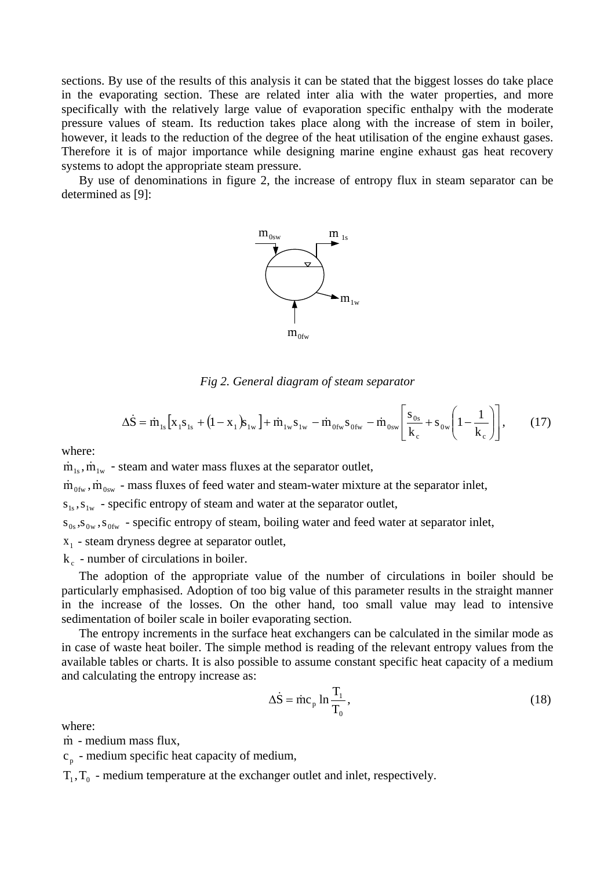sections. By use of the results of this analysis it can be stated that the biggest losses do take place in the evaporating section. These are related inter alia with the water properties, and more specifically with the relatively large value of evaporation specific enthalpy with the moderate pressure values of steam. Its reduction takes place along with the increase of stem in boiler, however, it leads to the reduction of the degree of the heat utilisation of the engine exhaust gases. Therefore it is of major importance while designing marine engine exhaust gas heat recovery systems to adopt the appropriate steam pressure.

By use of denominations in figure 2, the increase of entropy flux in steam separator can be determined as [9]:



*Fig 2. General diagram of steam separator* 

$$
\Delta \dot{S} = \dot{m}_{1s} \left[ x_1 s_{1s} + (1 - x_1) s_{1w} \right] + \dot{m}_{1w} s_{1w} - \dot{m}_{0fw} s_{0fw} - \dot{m}_{0sw} \left[ \frac{s_{0s}}{k_c} + s_{0w} \left( 1 - \frac{1}{k_c} \right) \right],
$$
 (17)

where:

 $\dot{m}_{1s}$ ,  $\dot{m}_{1w}$  - steam and water mass fluxes at the separator outlet,

 $\dot{m}_{0fw}$ ,  $\dot{m}_{0sw}$  - mass fluxes of feed water and steam-water mixture at the separator inlet,

 $s_{1s}$ ,  $s_{1w}$  - specific entropy of steam and water at the separator outlet,

 $s_{0s}$ ,  $s_{0w}$ ,  $s_{0fw}$  - specific entropy of steam, boiling water and feed water at separator inlet,

- $x_1$  steam dryness degree at separator outlet,
- $k_c$  number of circulations in boiler.

The adoption of the appropriate value of the number of circulations in boiler should be particularly emphasised. Adoption of too big value of this parameter results in the straight manner in the increase of the losses. On the other hand, too small value may lead to intensive sedimentation of boiler scale in boiler evaporating section.

The entropy increments in the surface heat exchangers can be calculated in the similar mode as in case of waste heat boiler. The simple method is reading of the relevant entropy values from the available tables or charts. It is also possible to assume constant specific heat capacity of a medium and calculating the entropy increase as:

$$
\Delta \dot{S} = \dot{m} c_p \ln \frac{T_1}{T_0},\tag{18}
$$

where:

m - medium mass flux,

 $c_n$  - medium specific heat capacity of medium,

 $T_1, T_0$  - medium temperature at the exchanger outlet and inlet, respectively.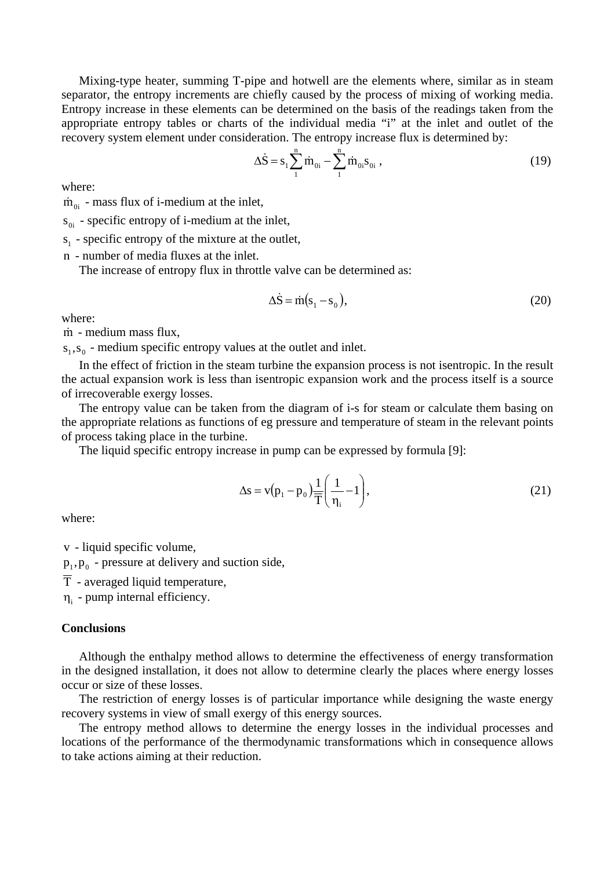Mixing-type heater, summing T-pipe and hotwell are the elements where, similar as in steam separator, the entropy increments are chiefly caused by the process of mixing of working media. Entropy increase in these elements can be determined on the basis of the readings taken from the appropriate entropy tables or charts of the individual media "i" at the inlet and outlet of the recovery system element under consideration. The entropy increase flux is determined by:

$$
\Delta \dot{S} = s_1 \sum_{1}^{n} \dot{m}_{0i} - \sum_{1}^{n} \dot{m}_{0i} s_{0i} , \qquad (19)
$$

where:

 $\dot{m}_{\alpha}$  - mass flux of i-medium at the inlet,

 $s_{0i}$  - specific entropy of i-medium at the inlet,

 $s_1$  - specific entropy of the mixture at the outlet,

n - number of media fluxes at the inlet.

The increase of entropy flux in throttle valve can be determined as:

$$
\Delta \dot{S} = \dot{m}(s_1 - s_0),\tag{20}
$$

where:

m - medium mass flux,

 $s<sub>1</sub>, s<sub>0</sub>$  - medium specific entropy values at the outlet and inlet.

In the effect of friction in the steam turbine the expansion process is not isentropic. In the result the actual expansion work is less than isentropic expansion work and the process itself is a source of irrecoverable exergy losses.

The entropy value can be taken from the diagram of i-s for steam or calculate them basing on the appropriate relations as functions of eg pressure and temperature of steam in the relevant points of process taking place in the turbine.

The liquid specific entropy increase in pump can be expressed by formula [9]:

$$
\Delta s = v(p_1 - p_0) \frac{1}{\overline{T}} \left( \frac{1}{\eta_i} - 1 \right),\tag{21}
$$

where:

v - liquid specific volume,

 $p_1, p_0$  - pressure at delivery and suction side,

 $\overline{T}$  - averaged liquid temperature.

 $\eta_i$  - pump internal efficiency.

#### **Conclusions**

Although the enthalpy method allows to determine the effectiveness of energy transformation in the designed installation, it does not allow to determine clearly the places where energy losses occur or size of these losses.

The restriction of energy losses is of particular importance while designing the waste energy recovery systems in view of small exergy of this energy sources.

The entropy method allows to determine the energy losses in the individual processes and locations of the performance of the thermodynamic transformations which in consequence allows to take actions aiming at their reduction.